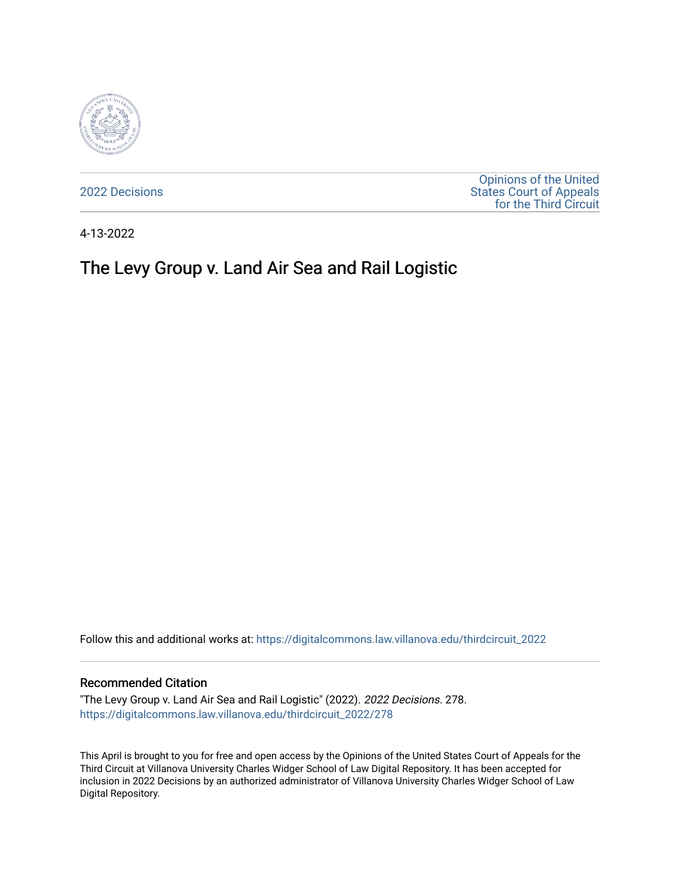

[2022 Decisions](https://digitalcommons.law.villanova.edu/thirdcircuit_2022)

[Opinions of the United](https://digitalcommons.law.villanova.edu/thirdcircuit)  [States Court of Appeals](https://digitalcommons.law.villanova.edu/thirdcircuit)  [for the Third Circuit](https://digitalcommons.law.villanova.edu/thirdcircuit) 

4-13-2022

# The Levy Group v. Land Air Sea and Rail Logistic

Follow this and additional works at: [https://digitalcommons.law.villanova.edu/thirdcircuit\\_2022](https://digitalcommons.law.villanova.edu/thirdcircuit_2022?utm_source=digitalcommons.law.villanova.edu%2Fthirdcircuit_2022%2F278&utm_medium=PDF&utm_campaign=PDFCoverPages) 

#### Recommended Citation

"The Levy Group v. Land Air Sea and Rail Logistic" (2022). 2022 Decisions. 278. [https://digitalcommons.law.villanova.edu/thirdcircuit\\_2022/278](https://digitalcommons.law.villanova.edu/thirdcircuit_2022/278?utm_source=digitalcommons.law.villanova.edu%2Fthirdcircuit_2022%2F278&utm_medium=PDF&utm_campaign=PDFCoverPages)

This April is brought to you for free and open access by the Opinions of the United States Court of Appeals for the Third Circuit at Villanova University Charles Widger School of Law Digital Repository. It has been accepted for inclusion in 2022 Decisions by an authorized administrator of Villanova University Charles Widger School of Law Digital Repository.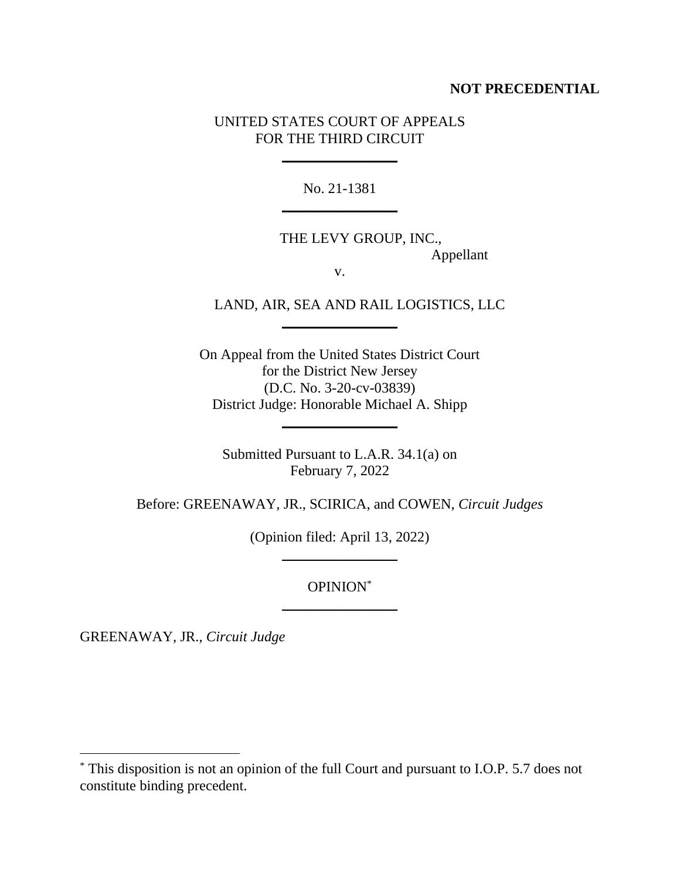# **NOT PRECEDENTIAL**

# UNITED STATES COURT OF APPEALS FOR THE THIRD CIRCUIT

\_\_\_\_\_\_\_\_\_\_\_\_\_\_\_\_

No. 21-1381  $\overline{\phantom{a}}$ 

THE LEVY GROUP, INC., Appellant

v.

 $\overline{\phantom{a}}$ 

LAND, AIR, SEA AND RAIL LOGISTICS, LLC

On Appeal from the United States District Court for the District New Jersey (D.C. No. 3-20-cv-03839) District Judge: Honorable Michael A. Shipp

Submitted Pursuant to L.A.R. 34.1(a) on February 7, 2022

 $\frac{1}{2}$  , where  $\frac{1}{2}$  , where  $\frac{1}{2}$ 

Before: GREENAWAY, JR., SCIRICA, and COWEN, *Circuit Judges*

(Opinion filed: April 13, 2022)  $\frac{1}{2}$  , where  $\frac{1}{2}$  , where  $\frac{1}{2}$ 

> OPINION\*  $\overline{\phantom{a}}$

GREENAWAY, JR., *Circuit Judge*

<sup>\*</sup> This disposition is not an opinion of the full Court and pursuant to I.O.P. 5.7 does not constitute binding precedent.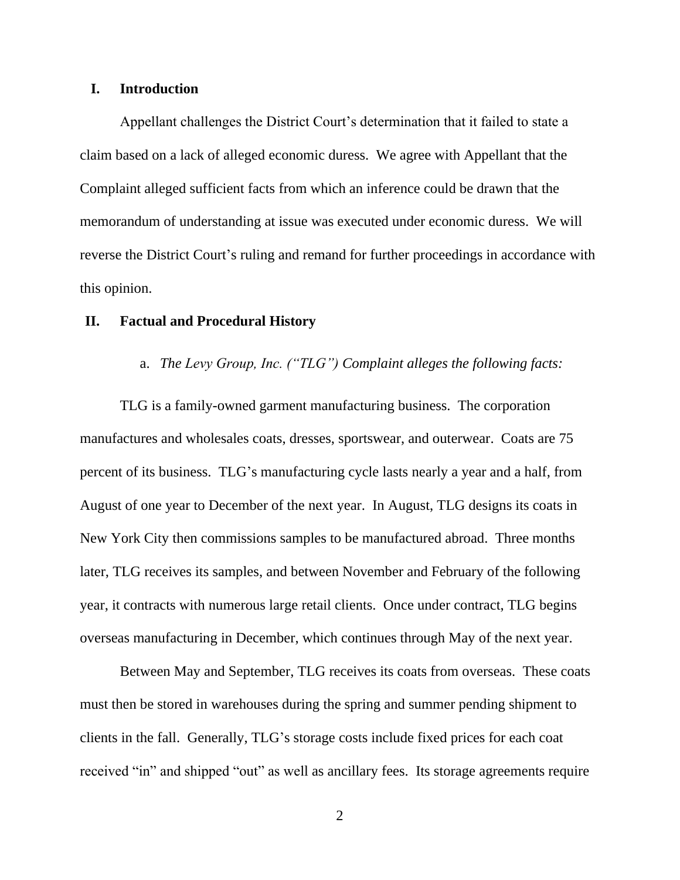#### **I. Introduction**

Appellant challenges the District Court's determination that it failed to state a claim based on a lack of alleged economic duress. We agree with Appellant that the Complaint alleged sufficient facts from which an inference could be drawn that the memorandum of understanding at issue was executed under economic duress. We will reverse the District Court's ruling and remand for further proceedings in accordance with this opinion.

#### **II. Factual and Procedural History**

## a. *The Levy Group, Inc. ("TLG") Complaint alleges the following facts:*

TLG is a family-owned garment manufacturing business. The corporation manufactures and wholesales coats, dresses, sportswear, and outerwear. Coats are 75 percent of its business. TLG's manufacturing cycle lasts nearly a year and a half, from August of one year to December of the next year. In August, TLG designs its coats in New York City then commissions samples to be manufactured abroad. Three months later, TLG receives its samples, and between November and February of the following year, it contracts with numerous large retail clients. Once under contract, TLG begins overseas manufacturing in December, which continues through May of the next year.

Between May and September, TLG receives its coats from overseas. These coats must then be stored in warehouses during the spring and summer pending shipment to clients in the fall. Generally, TLG's storage costs include fixed prices for each coat received "in" and shipped "out" as well as ancillary fees. Its storage agreements require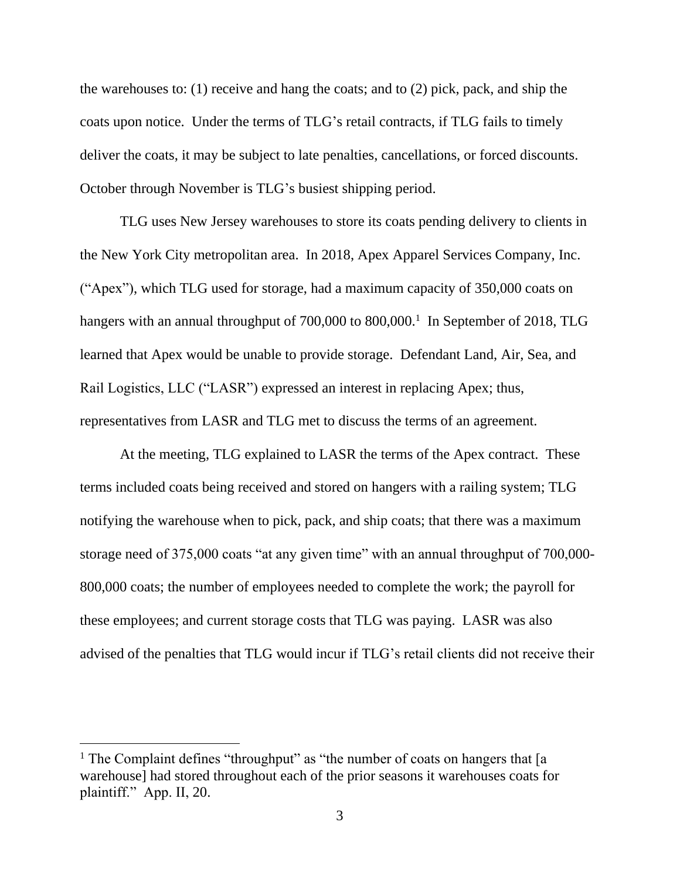the warehouses to: (1) receive and hang the coats; and to (2) pick, pack, and ship the coats upon notice. Under the terms of TLG's retail contracts, if TLG fails to timely deliver the coats, it may be subject to late penalties, cancellations, or forced discounts. October through November is TLG's busiest shipping period.

TLG uses New Jersey warehouses to store its coats pending delivery to clients in the New York City metropolitan area. In 2018, Apex Apparel Services Company, Inc. ("Apex"), which TLG used for storage, had a maximum capacity of 350,000 coats on hangers with an annual throughput of 700,000 to 800,000.<sup>1</sup> In September of 2018, TLG learned that Apex would be unable to provide storage. Defendant Land, Air, Sea, and Rail Logistics, LLC ("LASR") expressed an interest in replacing Apex; thus, representatives from LASR and TLG met to discuss the terms of an agreement.

At the meeting, TLG explained to LASR the terms of the Apex contract. These terms included coats being received and stored on hangers with a railing system; TLG notifying the warehouse when to pick, pack, and ship coats; that there was a maximum storage need of 375,000 coats "at any given time" with an annual throughput of 700,000- 800,000 coats; the number of employees needed to complete the work; the payroll for these employees; and current storage costs that TLG was paying. LASR was also advised of the penalties that TLG would incur if TLG's retail clients did not receive their

<sup>&</sup>lt;sup>1</sup> The Complaint defines "throughput" as "the number of coats on hangers that [a warehouse] had stored throughout each of the prior seasons it warehouses coats for plaintiff." App. II, 20.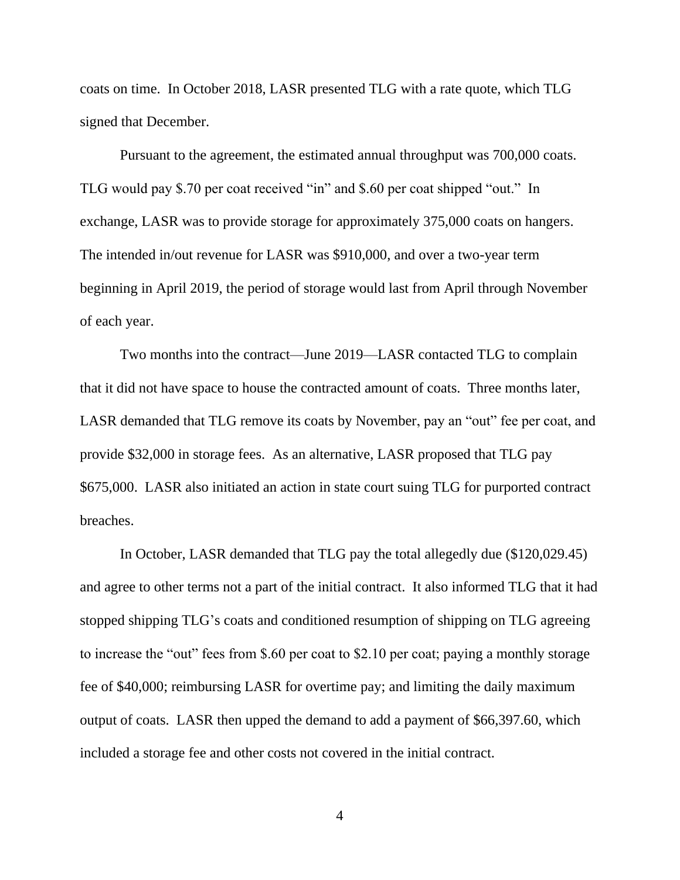coats on time. In October 2018, LASR presented TLG with a rate quote, which TLG signed that December.

Pursuant to the agreement, the estimated annual throughput was 700,000 coats. TLG would pay \$.70 per coat received "in" and \$.60 per coat shipped "out." In exchange, LASR was to provide storage for approximately 375,000 coats on hangers. The intended in/out revenue for LASR was \$910,000, and over a two-year term beginning in April 2019, the period of storage would last from April through November of each year.

Two months into the contract—June 2019—LASR contacted TLG to complain that it did not have space to house the contracted amount of coats. Three months later, LASR demanded that TLG remove its coats by November, pay an "out" fee per coat, and provide \$32,000 in storage fees. As an alternative, LASR proposed that TLG pay \$675,000. LASR also initiated an action in state court suing TLG for purported contract breaches.

In October, LASR demanded that TLG pay the total allegedly due (\$120,029.45) and agree to other terms not a part of the initial contract. It also informed TLG that it had stopped shipping TLG's coats and conditioned resumption of shipping on TLG agreeing to increase the "out" fees from \$.60 per coat to \$2.10 per coat; paying a monthly storage fee of \$40,000; reimbursing LASR for overtime pay; and limiting the daily maximum output of coats. LASR then upped the demand to add a payment of \$66,397.60, which included a storage fee and other costs not covered in the initial contract.

4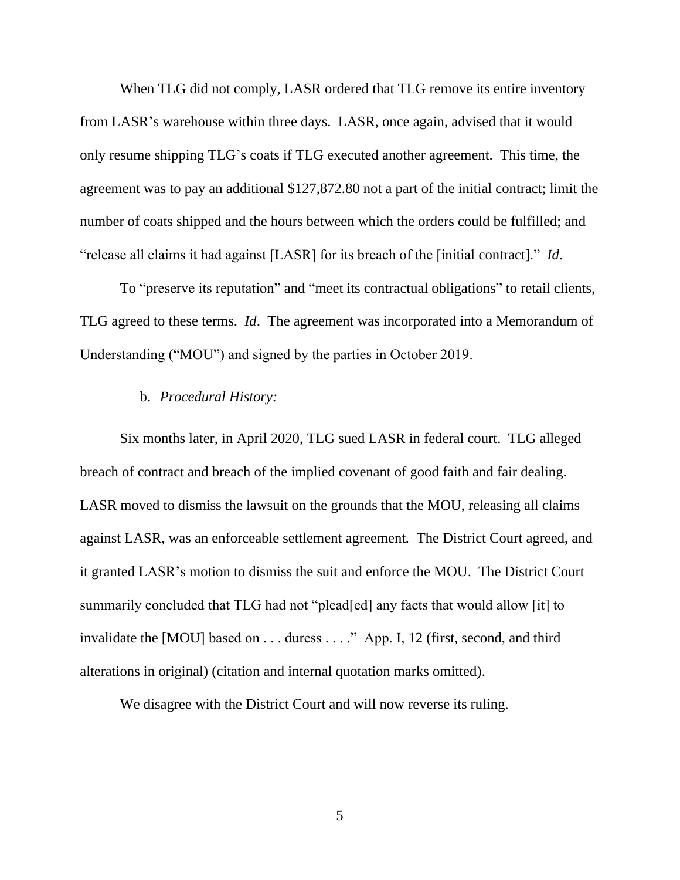When TLG did not comply, LASR ordered that TLG remove its entire inventory from LASR's warehouse within three days. LASR, once again, advised that it would only resume shipping TLG's coats if TLG executed another agreement. This time, the agreement was to pay an additional \$127,872.80 not a part of the initial contract; limit the number of coats shipped and the hours between which the orders could be fulfilled; and "release all claims it had against [LASR] for its breach of the [initial contract]." *Id*.

To "preserve its reputation" and "meet its contractual obligations" to retail clients, TLG agreed to these terms. *Id*.The agreement was incorporated into a Memorandum of Understanding ("MOU") and signed by the parties in October 2019.

## b. *Procedural History:*

Six months later, in April 2020, TLG sued LASR in federal court. TLG alleged breach of contract and breach of the implied covenant of good faith and fair dealing. LASR moved to dismiss the lawsuit on the grounds that the MOU, releasing all claims against LASR, was an enforceable settlement agreement*.* The District Court agreed, and it granted LASR's motion to dismiss the suit and enforce the MOU. The District Court summarily concluded that TLG had not "plead[ed] any facts that would allow [it] to invalidate the [MOU] based on . . . duress . . . ." App. I, 12 (first, second, and third alterations in original) (citation and internal quotation marks omitted).

We disagree with the District Court and will now reverse its ruling.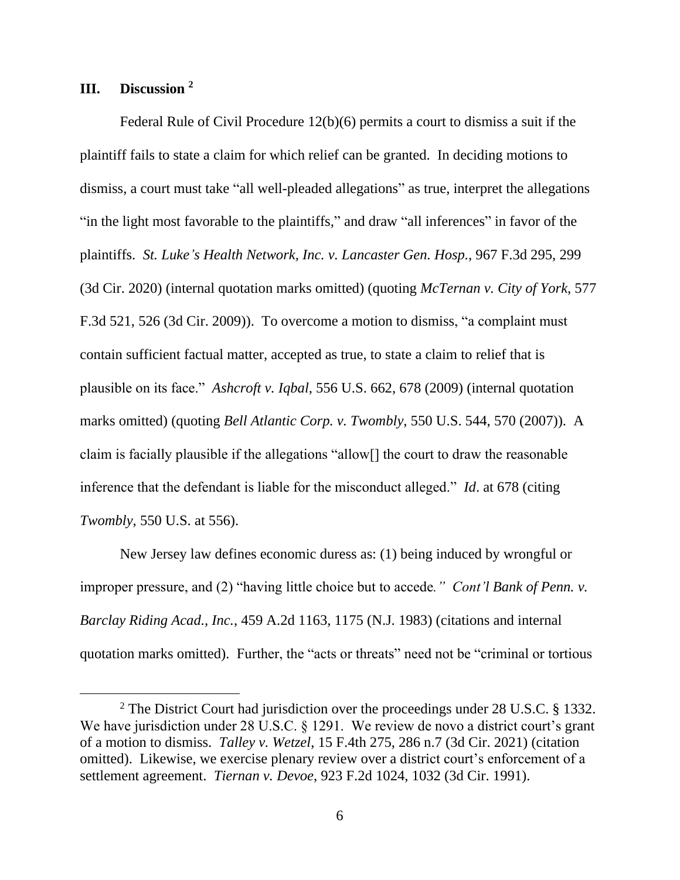# **III. Discussion <sup>2</sup>**

Federal Rule of Civil Procedure 12(b)(6) permits a court to dismiss a suit if the plaintiff fails to state a claim for which relief can be granted. In deciding motions to dismiss, a court must take "all well-pleaded allegations" as true, interpret the allegations "in the light most favorable to the plaintiffs," and draw "all inferences" in favor of the plaintiffs. *St. Luke's Health Network, Inc. v. Lancaster Gen. Hosp.*, 967 F.3d 295, 299 (3d Cir. 2020) (internal quotation marks omitted) (quoting *McTernan v. City of York*, 577 F.3d 521, 526 (3d Cir. 2009)). To overcome a motion to dismiss, "a complaint must contain sufficient factual matter, accepted as true, to state a claim to relief that is plausible on its face." *Ashcroft v. Iqbal*, 556 U.S. 662, 678 (2009) (internal quotation marks omitted) (quoting *Bell Atlantic Corp. v. Twombly*, 550 U.S. 544, 570 (2007)). A claim is facially plausible if the allegations "allow[] the court to draw the reasonable inference that the defendant is liable for the misconduct alleged." *Id*. at 678 (citing *Twombly*, 550 U.S. at 556).

New Jersey law defines economic duress as: (1) being induced by wrongful or improper pressure, and (2) "having little choice but to accede*." Cont'l Bank of Penn. v. Barclay Riding Acad., Inc.*, 459 A.2d 1163, 1175 (N.J. 1983) (citations and internal quotation marks omitted). Further, the "acts or threats" need not be "criminal or tortious

<sup>&</sup>lt;sup>2</sup> The District Court had jurisdiction over the proceedings under 28 U.S.C. § 1332. We have jurisdiction under 28 U.S.C. § 1291. We review de novo a district court's grant of a motion to dismiss. *Talley v. Wetzel*, 15 F.4th 275, 286 n.7 (3d Cir. 2021) (citation omitted). Likewise, we exercise plenary review over a district court's enforcement of a settlement agreement. *Tiernan v. Devoe*, 923 F.2d 1024, 1032 (3d Cir. 1991).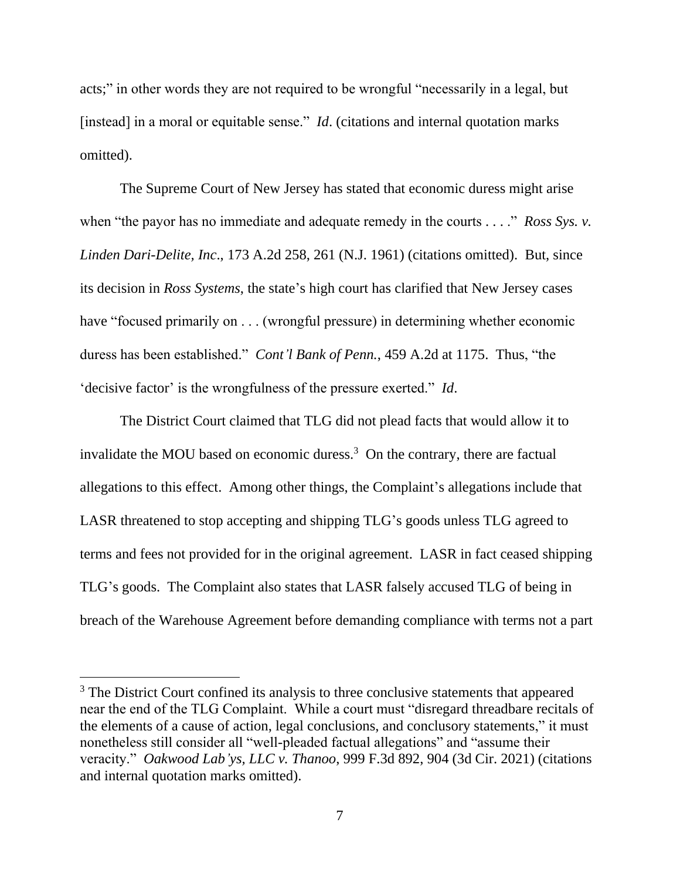acts;" in other words they are not required to be wrongful "necessarily in a legal, but [instead] in a moral or equitable sense." *Id.* (citations and internal quotation marks omitted).

The Supreme Court of New Jersey has stated that economic duress might arise when "the payor has no immediate and adequate remedy in the courts . . . ." *Ross Sys. v. Linden Dari-Delite, Inc*., 173 A.2d 258, 261 (N.J. 1961) (citations omitted). But, since its decision in *Ross Systems*, the state's high court has clarified that New Jersey cases have "focused primarily on . . . (wrongful pressure) in determining whether economic duress has been established." *Cont'l Bank of Penn.*, 459 A.2d at 1175. Thus, "the 'decisive factor' is the wrongfulness of the pressure exerted." *Id*.

The District Court claimed that TLG did not plead facts that would allow it to invalidate the MOU based on economic duress.<sup>3</sup> On the contrary, there are factual allegations to this effect. Among other things, the Complaint's allegations include that LASR threatened to stop accepting and shipping TLG's goods unless TLG agreed to terms and fees not provided for in the original agreement. LASR in fact ceased shipping TLG's goods. The Complaint also states that LASR falsely accused TLG of being in breach of the Warehouse Agreement before demanding compliance with terms not a part

<sup>&</sup>lt;sup>3</sup> The District Court confined its analysis to three conclusive statements that appeared near the end of the TLG Complaint. While a court must "disregard threadbare recitals of the elements of a cause of action, legal conclusions, and conclusory statements," it must nonetheless still consider all "well-pleaded factual allegations" and "assume their veracity." *Oakwood Lab'ys, LLC v. Thanoo*, 999 F.3d 892, 904 (3d Cir. 2021) (citations and internal quotation marks omitted).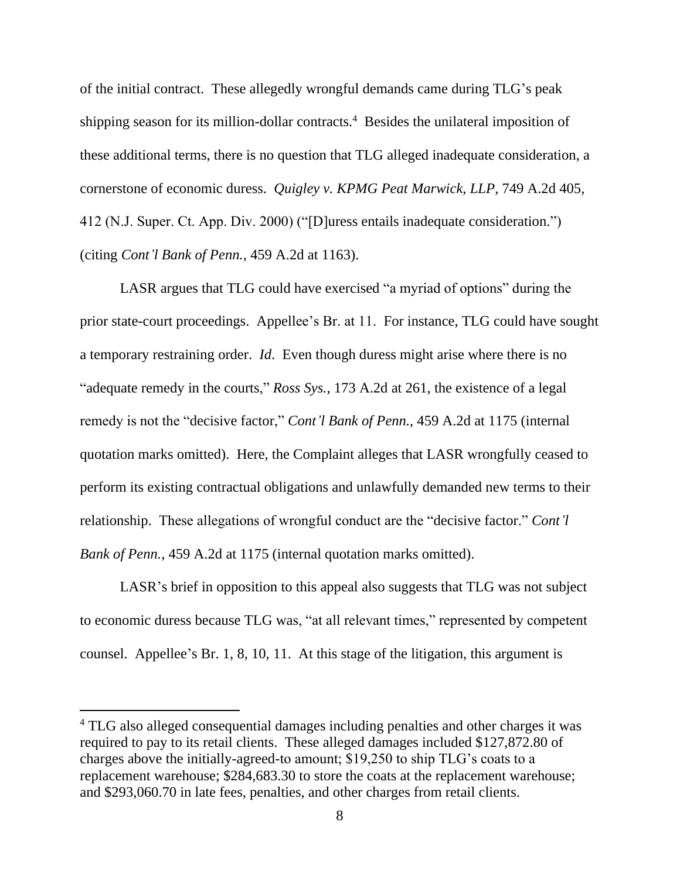of the initial contract. These allegedly wrongful demands came during TLG's peak shipping season for its million-dollar contracts.<sup>4</sup> Besides the unilateral imposition of these additional terms, there is no question that TLG alleged inadequate consideration, a cornerstone of economic duress. *Quigley v. KPMG Peat Marwick, LLP*, 749 A.2d 405, 412 (N.J. Super. Ct. App. Div. 2000) ("[D]uress entails inadequate consideration.") (citing *Cont'l Bank of Penn.*, 459 A.2d at 1163).

LASR argues that TLG could have exercised "a myriad of options" during the prior state-court proceedings. Appellee's Br. at 11. For instance, TLG could have sought a temporary restraining order. *Id*. Even though duress might arise where there is no "adequate remedy in the courts," *Ross Sys.*, 173 A.2d at 261, the existence of a legal remedy is not the "decisive factor," *Cont'l Bank of Penn.*, 459 A.2d at 1175 (internal quotation marks omitted). Here, the Complaint alleges that LASR wrongfully ceased to perform its existing contractual obligations and unlawfully demanded new terms to their relationship. These allegations of wrongful conduct are the "decisive factor." *Cont'l Bank of Penn.*, 459 A.2d at 1175 (internal quotation marks omitted).

LASR's brief in opposition to this appeal also suggests that TLG was not subject to economic duress because TLG was, "at all relevant times," represented by competent counsel. Appellee's Br. 1, 8, 10, 11. At this stage of the litigation, this argument is

<sup>&</sup>lt;sup>4</sup> TLG also alleged consequential damages including penalties and other charges it was required to pay to its retail clients. These alleged damages included \$127,872.80 of charges above the initially-agreed-to amount; \$19,250 to ship TLG's coats to a replacement warehouse; \$284,683.30 to store the coats at the replacement warehouse; and \$293,060.70 in late fees, penalties, and other charges from retail clients.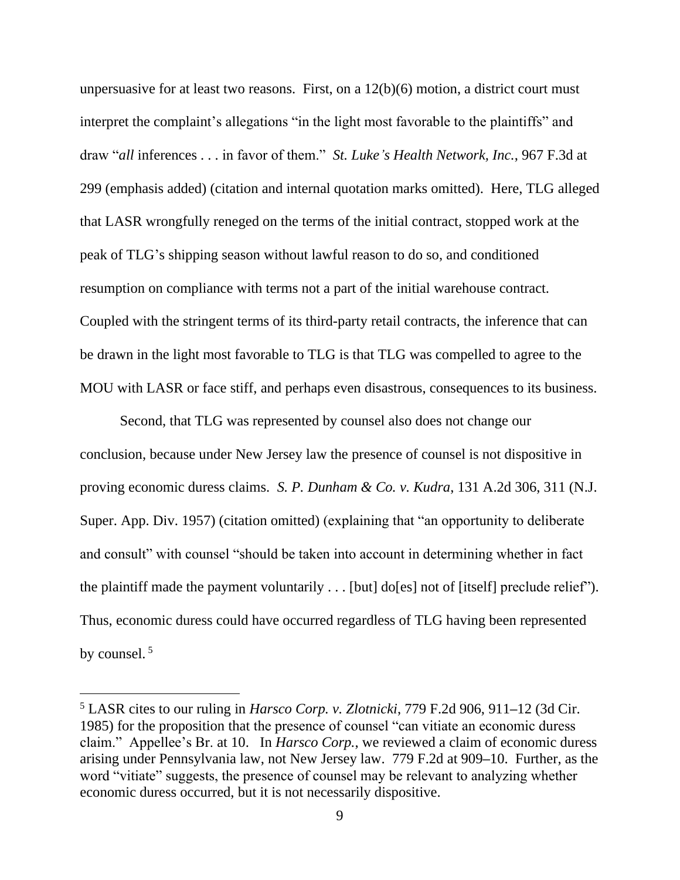unpersuasive for at least two reasons. First, on a 12(b)(6) motion, a district court must interpret the complaint's allegations "in the light most favorable to the plaintiffs" and draw "*all* inferences . . . in favor of them." *St. Luke's Health Network, Inc.*, 967 F.3d at 299 (emphasis added) (citation and internal quotation marks omitted). Here, TLG alleged that LASR wrongfully reneged on the terms of the initial contract, stopped work at the peak of TLG's shipping season without lawful reason to do so, and conditioned resumption on compliance with terms not a part of the initial warehouse contract. Coupled with the stringent terms of its third-party retail contracts, the inference that can be drawn in the light most favorable to TLG is that TLG was compelled to agree to the MOU with LASR or face stiff, and perhaps even disastrous, consequences to its business.

Second, that TLG was represented by counsel also does not change our conclusion, because under New Jersey law the presence of counsel is not dispositive in proving economic duress claims. *S. P. Dunham & Co. v. Kudra*, 131 A.2d 306, 311 (N.J. Super. App. Div. 1957) (citation omitted) (explaining that "an opportunity to deliberate and consult" with counsel "should be taken into account in determining whether in fact the plaintiff made the payment voluntarily . . . [but] do[es] not of [itself] preclude relief"). Thus, economic duress could have occurred regardless of TLG having been represented by counsel.<sup>5</sup>

<sup>5</sup> LASR cites to our ruling in *Harsco Corp. v. Zlotnicki*, 779 F.2d 906, 911**–**12 (3d Cir. 1985) for the proposition that the presence of counsel "can vitiate an economic duress claim." Appellee's Br. at 10. In *Harsco Corp.*, we reviewed a claim of economic duress arising under Pennsylvania law, not New Jersey law. 779 F.2d at 909**–**10. Further, as the word "vitiate" suggests, the presence of counsel may be relevant to analyzing whether economic duress occurred, but it is not necessarily dispositive.